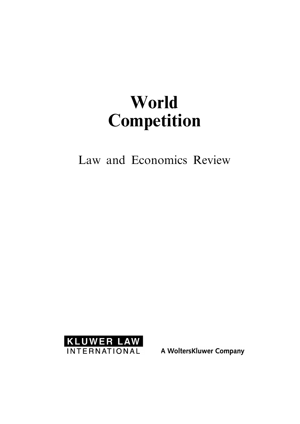# World Competition

Law and Economics Review



A WoltersKluwer Company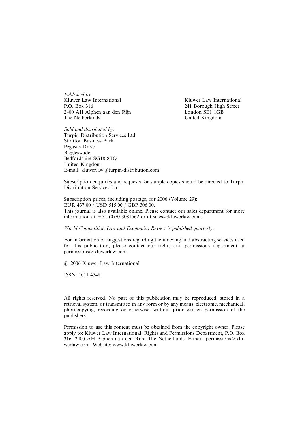Published by: Kluwer Law International P.O. Box 316 2400 AH Alphen aan den Rijn The Netherlands

Kluwer Law International 241 Borough High Street London SE1 1GB United Kingdom

Sold and distributed by: Turpin Distribution Services Ltd **Stratton Business Park** Pegasus Drive Biggleswade Bedfordshire SG18 8TO United Kingdom E-mail: kluwerlaw@turpin-distribution.com

Subscription enquiries and requests for sample copies should be directed to Turpin Distribution Services Ltd.

Subscription prices, including postage, for 2006 (Volume 29): EUR 437.00 / USD 515.00 / GBP 306.00. This journal is also available online. Please contact our sales department for more information at +31 (0)70 3081562 or at sales@kluwerlaw.com.

World Competition Law and Economics Review is published quarterly.

For information or suggestions regarding the indexing and abstracting services used for this publication, please contact our rights and permissions department at permissions@kluwerlaw.com.

C 2006 Kluwer Law International

ISSN: 1011 4548

All rights reserved. No part of this publication may be reproduced, stored in a retrieval system, or transmitted in any form or by any means, electronic, mechanical, photocopying, recording or otherwise, without prior written permission of the publishers.

Permission to use this content must be obtained from the copyright owner. Please apply to: Kluwer Law International, Rights and Permissions Department, P.O. Box  $316$ , 2400 AH Alphen aan den Rijn, The Netherlands. E-mail: permissions@kluwerlaw.com. Website: www.kluwerlaw.com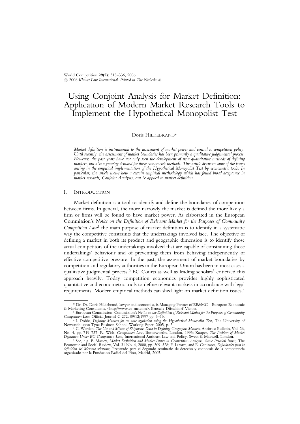World Competition 29(2): 315-336, 2006.  $\odot$  2006 Kluwer Law International. Printed in The Netherlands.

## Using Conjoint Analysis for Market Definition: Application of Modern Market Research Tools to Implement the Hypothetical Monopolist Test

#### Doris HILDEBRAND\*

Market definition is instrumental to the assessment of market power and central to competition policy. Until recently, the assessment of market boundaries has been primarily a qualitative judgemental process. However, the past years have not only seen the development of new quantitative methods of defining markets, but also a growing demand for these econometric methods. This article discusses some of the issues arising in the empirical implementation of the Hypothetical Monopolist Test by econometric tools. In particular, the article shows how a certain empirical methodology which has found broad acceptance in market research, Conjoint Analysis, can be applied to market definition.

#### I. INTRODUCTION

Market definition is a tool to identify and define the boundaries of competition between firms. In general, the more narrowly the market is defined the more likely a firm or firms will be found to have market power. As elaborated in the European Commission's Notice on the Definition of Relevant Market for the Purposes of Community Competition  $Law<sup>1</sup>$  the main purpose of market definition is to identify in a systematic way the competitive constraints that the undertakings involved face. The objective of defining a market in both its product and geographic dimension is to identify those actual competitors of the undertakings involved that are capable of constraining those undertakings' behaviour and of preventing them from behaving independently of effective competitive pressure. In the past, the assessment of market boundaries by competition and regulatory authorities in the European Union has been in most cases a qualitative judgmental process.<sup>2</sup> EC Courts as well as leading scholars<sup>3</sup> criticized this approach heavily. Today competition economics provides highly sophisticated quantitative and econometric tools to define relevant markets in accordance with legal requirements. Modern empirical methods can shed light on market definition issues.4

<sup>\*</sup> Dr. Dr. Doris Hildebrand, lawyer and economist, is Managing Partner of EE&MC - European Economic

<sup>&</sup>amp; Marketing Consultants, <http://www.ee-mc.com>, Brussels-Düsseldorf-Vienna.<br>
<sup>1</sup> European Commission, Commission's Notice on the Definition of Relevant Market for the Purposes of Community<br>
Competition Law, Official Journ Competition Law, Official Journal C 272, 09/12/1997 pp. 5–13.<br><sup>2</sup> I. Dobbs, *Defining Markets for ex ante regulation using the Hypothetical Monopolist Test, The University of* 

Newcastle upon Tyne Business School, Working Paper, 2005, p. 3.<br><sup>3</sup> G. Werden, *The Use and Misuse of Shipments Data in Defining Geographic Markets*, Antitrust Bulletin, Vol. 26,

No. 4, pp. 719–737; R. Wish, *Competition Law,* Butterworths, London, 1993; Kauper, *The Problem of Market*<br>*Definition Under EC Competition Law,* International Antitrust Law and Policy, Sweet & Maxwell, London.<br><sup>4</sup> See, e

definición del Mercado relevante, Preparado para el Segundo seminario de derecho y economia de la competencia organizado por la Fundacion Rafael del Pino, Madrid, 2005.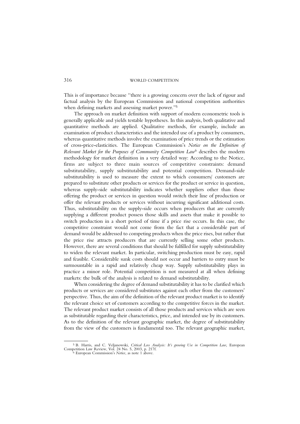This is of importance because "there is a growing concern over the lack of rigour and factual analysis by the European Commission and national competition authorities when defining markets and assessing market power."<sup>5</sup>

The approach on market definition with support of modern econometric tools is generally applicable and yields testable hypotheses. In this analysis, both qualitative and quantitative methods are applied. Qualitative methods, for example, include an examination of product characteristics and the intended use of a product by consumers, whereas quantitative methods involve the examination of price trends or the estimation of cross-price-elasticities. The European Commission's Notice on the Definition of Relevant Market for the Purposes of Community Competition Law<sup>6</sup> describes the modern methodology for market definition in a very detailed way: According to the Notice, firms are subject to three main sources of competitive constraints: demand substitutability, supply substitutability and potential competition. Demand-side substitutability is used to measure the extent to which consumers/ customers are prepared to substitute other products or services for the product or service in question, whereas supply-side substitutability indicates whether suppliers other than those offering the product or services in question would switch their line of production or offer the relevant products or services without incurring significant additional costs. Thus, substitutability on the supply-side occurs when producers that are currently supplying a different product possess those skills and assets that make it possible to switch production in a short period of time if a price rise occurs. In this case, the competitive constraint would not come from the fact that a considerable part of demand would be addressed to competing products when the price rises, but rather that the price rise attracts producers that are currently selling some other products. However, there are several conditions that should be fulfilled for supply substitutability to widen the relevant market. In particular, switching production must be easy, rapid and feasible. Considerable sunk costs should not occur and barriers to entry must be surmountable in a rapid and relatively cheap way. Supply substitutability plays in practice a minor role. Potential competition is not measured at all when defining markets: the bulk of the analysis is related to demand substitutability.

When considering the degree of demand substitutability it has to be clarified which products or services are considered substitutes against each other from the customers' perspective. Thus, the aim of the definition of the relevant product market is to identify the relevant choice set of customers according to the competitive forces in the market. The relevant product market consists of all those products and services which are seen as substitutable regarding their characteristics, price, and intended use by its customers. As to the definition of the relevant geographic market, the degree of substitutability from the view of the customers is fundamental too. The relevant geographic market,

<sup>&</sup>lt;sup>5</sup> B. Harris, and C. Veljanowski, Critical Loss Analysis: It's growing Use in Competition Law, European Competition Law Review, Vol. 24 No. 5, 2003, p. 217f.<br><sup>6</sup> European Commission's *Notice*, as note 1 above.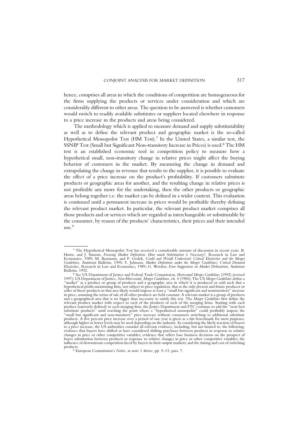hence, comprises all areas in which the conditions of competition are homogeneous for the firms supplying the products or services under consideration and which are considerably different to other areas. The question to be answered is whether customers would switch to readily available substitutes or suppliers located elsewhere in response to a price increase in the products and areas being considered.

The methodology which is applied to measure demand and supply substitutability as well as to define the relevant product and geographic market is the so-called Hypothetical Monopolist Test (HM Test).7 In the United States, a similar test, the SSNIP Test (Small but Significant Non-transitory Increase in Prices) is used.8 The HM test is an established economic tool in competition policy to measure how a hypothetical small, non-transitory change in relative prices might affect the buying behavior of customers in the market. By measuring the change in demand and extrapolating the change in revenue that results to the supplier, it is possible to evaluate the effect of a price increase on the product's profitability. If customers substitute products or geographic areas for another, and the resulting change in relative prices is not profitable any more for the undertaking, then the other products or geographic areas belong together i.e. the market can be defined in a wider context. This evaluation is continued until a permanent increase in prices would be profitable thereby defining the relevant product market. In particular, the relevant product market comprises all those products and or services which are regarded as interchangeable or substitutable by the consumer, by reason of the products' characteristics, their prices and their intended use.9

<sup>7</sup> The Hypothetical Monopolist Test has received a considerable amount of discussion in recent years. B. Harris, and J. Simons, *Focusing Market Definition: How much Substitution is Necessary?,* Research in Law and<br>Economics, 1989; M. Baumann, and P. Godek, *Could and Would Understood: Critical Elasticities and the Merger* Guidelines, Antitrust Bulletin, 1995; F. Johnson, Market Definition under the Merger Guidelines: Critical Demand Elasticities, Research in Law and Economics, 1989; G. Werden, Four Suggestions on Market Delineation, Antitrust

Bulletin, 1992.<br><sup>8</sup> See US Department of Justice and Federal Trade Commission, *Horizontal Merger Guidelines* (1992) (revised<br>1997); US Department of Justice, *Non-Horizontal, Merger Guidelines*, ch. 4 (1984); The US *Merg* ``market'' as a product or group of products and a geographic area in which it is produced or sold such that a hypothetical profit-maximising firm, not subject to price regulation, that as the only present and future producer or<br>seller of those products in that area likely would impose at least a ''small but significant and nontran in price, assuming the terms of sale of all other products are held constant. A relevant market is a group of products<br>and a geographical area that is no bigger than necessary to satisfy this test. The *Merger Guidelines* relevant product market with respect to each of the products of each of the merging firms. Starting with each product (narrowly defined) or each merging firm, the Justice Department and FTC continue to add the ''next best<br>substitute products'' until reaching the point where a ''hypothetical monopolist'' could profitably impose the ``small but significant and non-transitory'' price increase without consumers switching to additional substitute products. A five percent price increase over a period of one year is given as a fair benchmark for most purposes,<br>although higher or lower levels may be used depending on the industry. In considering the likely reaction of evidence that buyers have shifted or have considered shifting purchases between products in response to relative<br>changes in price or other competitive variables; evidence that sellers base business decisions on the prospec buyer substitution between products in response to relative changes in price or other competitive variables; the<br>influence of downstream competition faced by buyers in their output markets; and the timing and cost of switc products.

<sup>&</sup>lt;sup>9</sup> European Commission's Notice, as note 1 above, pp. 5-13, para. 7.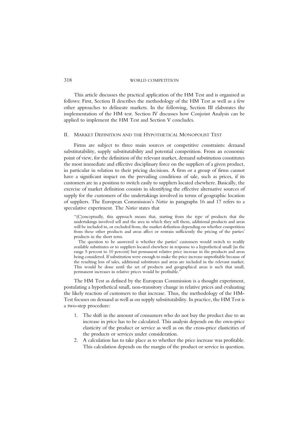This article discusses the practical application of the HM Test and is organised as follows: First, Section II describes the methodology of the HM Test as well as a few other approaches to delineate markets. In the following, Section III elaborates the implementation of the HM test. Section IV discusses how Conjoint Analysis can be applied to implement the HM Test and Section V concludes.

#### II. MARKET DEFINITION AND THE HYPOTHETICAL MONOPOLIST TEST

Firms are subject to three main sources or competitive constraints: demand substitutability, supply substitutability and potential competition. From an economic point of view, for the definition of the relevant market, demand substitution constitutes the most immediate and effective disciplinary force on the suppliers of a given product, in particular in relation to their pricing decisions. A firm or a group of firms cannot have a significant impact on the prevailing conditions of sale, such as prices, if its customers are in a position to switch easily to suppliers located elsewhere. Basically, the exercise of market definition consists in identifying the effective alternative sources of supply for the customers of the undertakings involved in terms of geographic location of suppliers. The European Commission's Notice in paragraphs 16 and 17 refers to a speculative experiment. The Notice states that

``(C)onceptually, this approach means that, starting from the type of products that the undertakings involved sell and the area in which they sell them, additional products and areas will be included in, or excluded from, the market definition depending on whether competition from these other products and areas affect or restrain sufficiently the pricing of the parties' products in the short term.

The question to be answered is whether the parties' customers would switch to readily available substitutes or to suppliers located elsewhere in response to a hypothetical small (in the range 5 percent to 10 percent) but permanent relative price increase in the products and areas being considered. If substitution were enough to make the price increase unprofitable because of the resulting loss of sales, additional substitutes and areas are included in the relevant market. This would be done until the set of products and geographical areas is such that small, permanent increases in relative prices would be profitable.''

The HM Test as defined by the European Commission is a thought experiment, postulating a hypothetical small, non-transitory change in relative prices and evaluating the likely reaction of customers to that increase. Thus, the methodology of the HM-Test focuses on demand as well as on supply substitutability. In practice, the HM Test is a two-step procedure:

- 1. The shift in the amount of consumers who do not buy the product due to an increase in price has to be calculated. This analysis depends on the own-price elasticity of the product or service as well as on the cross-price elasticities of the products or services under consideration.
- 2. A calculation has to take place as to whether the price increase was profitable. This calculation depends on the margin of the product or service in question.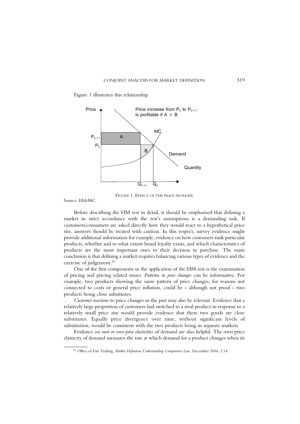Figure 1 illustrates this relationship.



FIGURE 1: EFFECT OF THE PRICE INCREASE

Source: EE&MC.

Before describing the HM test in detail, it should be emphasised that defining a market in strict accordance with the test's assumptions is a demanding task. If customers/consumers are asked directly how they would react to a hypothetical price rise, answers should be treated with caution. In this respect, survey evidence might provide additional information for example, evidence on how customers rank particular products, whether and to what extent brand loyalty exists, and which characteristics of products are the most important ones to their decision to purchase. The main conclusion is that defining a market requires balancing various types of evidence and the exercise of judgement. 10

One of the first components in the application of the HM test is the examination of pricing and pricing related issues. Patterns in price changes can be informative. For example, two products showing the same pattern of price changes, for reasons not connected to costs or general price inflation, could be - although not proof - two products being close substitutes.

Customer reactions to price changes in the past may also be relevant. Evidence that a relatively large proportion of customers had switched to a rival product in response to a relatively small price rise would provide evidence that these two goods are close substitutes. Equally price divergence over time, without significant levels of substitution, would be consistent with the two products being in separate markets.

Evidence on own or cross-price elasticities of demand are also helpful. The own price elasticity of demand measures the rate at which demand for a product changes when its

<sup>&</sup>lt;sup>10</sup> Office of Fair Trading, Market Definition Understanding Competition Law, December 2004, 2.14.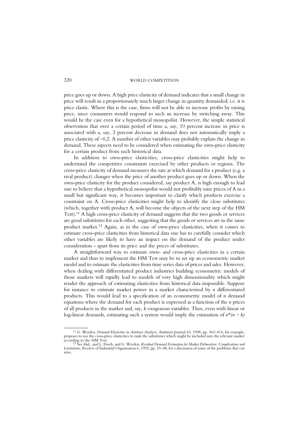price goes up or down. A high price elasticity of demand indicates that a small change in price will result in a proportionately much larger change in quantity demanded; i.e. it is price elastic. Where this is the case, firms will not be able to increase profits by raising price, since consumers would respond to such an increase by switching away. This would be the case even for a hypothetical monopolist. However, the simple statistical observation that over a certain period of time a, say, 10 percent increase in price is associated with a, say, 2 percent decrease in demand does not automatically imply a price elasticity of  $-0.2$ . A number of other variables may probably explain the change in demand. These aspects need to be considered when estimating the own-price elasticity for a certain product from such historical data.

In addition to own-price elasticities, cross-price elasticities might help to understand the competitive constraints exercised by other products or regions. The cross-price elasticity of demand measures the rate at which demand for a product (e.g. a rival product) changes when the price of another product goes up or down. When the own-price elasticity for the product considered, say product A, is high enough to lead one to believe that a hypothetical monopolist would not profitably raise prices of A in a small but significant way, it becomes important to clarify which products exercise a constraint on A. Cross-price elasticities might help to identify the close substitutes (which, together with product A, will become the objects of the next step of the HM Test).11 A high cross-price elasticity of demand suggests that the two goods or services are good substitutes for each other, suggesting that the goods or services are in the same product market.12 Again, as in the case of own-price elasticities, when it comes to estimate cross-price elasticities from historical data one has to carefully consider which other variables are likely to have an impact on the demand of the product under consideration - apart from its price and the prices of substitutes.

A straightforward way to estimate own- and cross-price elasticities in a certain market and thus to implement the HM Test may be to set up an econometric market model and to estimate the elasticities from time series data of prices and sales. However, when dealing with differentiated product industries building econometric models of those markets will rapidly lead to models of very high dimensionality which might render the approach of estimating elasticities from historical data impossible. Suppose for instance to estimate market power in a market characterised by  $n$  differentiated products. This would lead to a specification of an econometric model of  $n$  demand equations where the demand for each product is expressed as a function of the n prices of all products in the market and, say, k exogenous variables. Thus, even with linear or log-linear demands, estimating such a system would imply the estimation of  $n^*(n + k)$ 

<sup>&</sup>lt;sup>11</sup> G. Werden, *Demand Elasticities in Antitrust Analysis*, Antitrust Journal 43, 1998, pp. 363–414, for example, proposes to use the cross-price elasticities to rank the substitutes which might be included into the relev according to the HM Test.<br>according to the HM Test.<br><sup>12</sup> See ibid., and L. Froeb, and G. Werden, *Residual Demand Estimation for Market Delineation: Complications and* 

Limitations, Review of Industrial Organisation 6, 1992, pp. 33-48, for a discussion of some of the problems that can arise.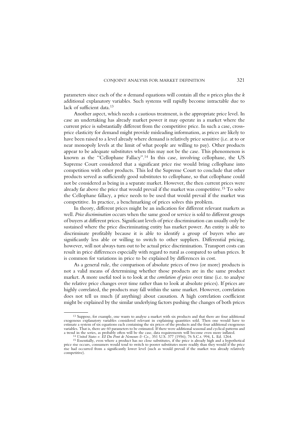parameters since each of the  $n$  demand equations will contain all the  $n$  prices plus the  $k$ additional explanatory variables. Such systems will rapidly become intractable due to lack of sufficient data.13

Another aspect, which needs a cautious treatment, is the appropriate price level. In case an undertaking has already market power it may operate in a market where the current price is substantially different from the competitive price. In such a case, crossprice elasticity for demand might provide misleading information, as prices are likely to have been raised to a level already where demand is relatively price sensitive (i.e. at to or near monopoly levels at the limit of what people are willing to pay). Other products appear to be adequate substitutes when this may not be the case. This phenomenon is known as the "Cellophane Fallacy".<sup>14</sup> In this case, involving cellophane, the US Supreme Court considered that a significant price rise would bring cellophane into competition with other products. This led the Supreme Court to conclude that other products served as sufficiently good substitutes to cellophane, so that cellophane could not be considered as being in a separate market. However, the then current prices were already far above the price that would prevail if the market was competitive.15 To solve the Cellophane fallacy, a price needs to be used that would prevail if the market was competitive. In practice, a benchmarking of prices solves this problem.

In theory, different prices might be an indication for different relevant markets as well. Price discrimination occurs when the same good or service is sold to different groups of buyers at different prices. Significant levels of price discrimination can usually only be sustained where the price discriminating entity has market power. An entity is able to discriminate profitably because it is able to identify a group of buyers who are significantly less able or willing to switch to other suppliers. Differential pricing, however, will not always turn out to be actual price discrimination. Transport costs can result in price differences especially with regard to rural as compared to urban prices. It is common for variations in price to be explained by differences in cost.

As a general rule, the comparison of absolute prices of two (or more) products is not a valid means of determining whether those products are in the same product market. A more useful tool is to look at the *correlation of prices* over time (i.e. to analyse the relative price changes over time rather than to look at absolute prices). If prices are highly correlated, the products may fall within the same market. However, correlation does not tell us much (if anything) about causation. A high correlation coefficient might be explained by the similar underlying factors pushing the changes of both prices

<sup>13</sup> Suppose, for example, one wants to analyse a market with six products and that there are four additional exogenous explanatory variables considered relevant in explaining quantities sold. Then one would have to estimate a system of six equations each containing the six prices of the products and the four additional exogenous variables. That is, there are 60 parameters to be estimated. If there were additional seasonal and cyclical patterns and a trend in the series, as probably often will be the case, data requirements will become even more inflated.<br><sup>14</sup> United States v. El Du Pont de Nemours & Co., 351 U.S. 377 (1956); 76 S.C.t. 994, L. Ed. 1264.<br><sup>15</sup> Essentia

price rise occurs, consumers would tend to switch to poorer substitutes more readily than they would if the price rise had occurred from a significantly lower level (such as would prevail if the market was already relatively competitive).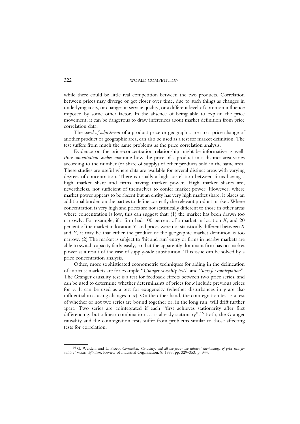while there could be little real competition between the two products. Correlation between prices may diverge or get closer over time, due to such things as changes in underlying costs, or changes in service quality, or a different level of common influence imposed by some other factor. In the absence of being able to explain the price movement, it can be dangerous to draw inferences about market definition from price correlation data.

The speed of adjustment of a product price or geographic area to a price change of another product or geographic area, can also be used as a test for market definition. The test suffers from much the same problems as the price correlation analysis.

Evidence on the price-concentration relationship might be informative as well. Price-concentration studies examine how the price of a product in a distinct area varies according to the number (or share of supply) of other products sold in the same area. These studies are useful where data are available for several distinct areas with varying degrees of concentration. There is usually a high correlation between firms having a high market share and firms having market power. High market shares are, nevertheless, not sufficient of themselves to confer market power. However, where market power appears to be absent but an entity has very high market share, it places an additional burden on the parties to define correctly the relevant product market. Where concentration is very high and prices are not statistically different to those in other areas where concentration is low, this can suggest that: (1) the market has been drawn too narrowly. For example, if a firm had  $100$  percent of a market in location  $X$ , and  $20$ percent of the market in location Y, and prices were not statistically different between X and Y, it may be that either the product or the geographic market definition is too narrow. (2) The market is subject to 'hit and run' entry or firms in nearby markets are able to switch capacity fairly easily, so that the apparently dominant firm has no market power as a result of the ease of supply-side substitution. This issue can be solved by a price concentration analysis.

Other, more sophisticated econometric techniques for aiding in the delineation of antitrust markets are for example "Granger causality tests" and "tests for cointegration". The Granger causality test is a test for feedback effects between two price series, and can be used to determine whether determinants of prices for  $x$  include previous prices for y. It can be used as a test for exogeneity (whether disturbances in y are also influential in causing changes in  $x$ ). On the other hand, the cointegration test is a test of whether or not two series are bound together or, in the long run, will drift further apart. Two series are cointegrated if each "first achieves stationarity after first differencing, but a linear combination . . . is already stationary''.16 Both, the Granger causality and the cointegration tests suffer from problems similar to those affecting tests for correlation.

<sup>&</sup>lt;sup>16</sup> G. Werden, and L. Froeb, *Correlation, Causality, and all the jazz: the inherent shortcomings of price tests for*<br>antitrust market definition, Review of Industrial Organisation, 8; 1993, pp. 329–353, p. 344.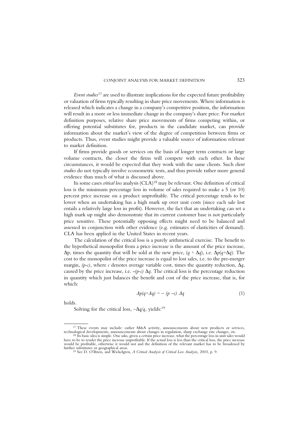Event studies<sup>17</sup> are used to illustrate implications for the expected future profitability or valuation of firms typically resulting in share price movements. Where information is released which indicates a change in a company's competitive position, the information will result in a more or less immediate change in the company's share price. For market definition purposes, relative share price movements of firms competing within, or offering potential substitutes for, products in the candidate market, can provide information about the market's view of the degree of competition between firms or products. Thus, event studies might provide a valuable source of information relevant to market definition.

If firms provide goods or services on the basis of longer term contracts or large volume contracts, the closer the firms will compete with each other. In these circumstances, it would be expected that they work with the same clients. Such client studies do not typically involve econometric tests, and thus provide rather more general evidence than much of what is discussed above.

In some cases critical loss analysis (CLA)<sup>18</sup> may be relevant. One definition of critical loss is the minimum percentage loss in volume of sales required to make a 5 (or 10) percent price increase on a product unprofitable. The critical percentage tends to be lower when an undertaking has a high mark up over unit costs (since each sale lost entails a relatively large loss in profit). However, the fact that an undertaking can set a high mark up might also demonstrate that its current customer base is not particularly price sensitive. These potentially opposing effects might need to be balanced and assessed in conjunction with other evidence (e.g. estimates of elasticities of demand). CLA has been applied in the United States in recent years.

The calculation of the critical loss is a purely arithmetical exercise. The benefit to the hypothetical monopolist from a price increase is the amount of the price increase,  $\Delta p$ , times the quantity that will be sold at the new price,  $(q + \Delta q)$ , i.e.  $\Delta p(q + \Delta q)$ . The cost to the monopolist of the price increase is equal to lost sales, i.e. to the pre-merger margin,  $(p-c)$ , where c denotes average variable cost, times the quantity reduction,  $\Delta q$ , caused by the price increase, i.e.  $-(p-c) \Delta q$ . The critical loss is the percentage reduction in quantity which just balances the benefit and cost of the price increase, that is, for which:

$$
\Delta p(q + \Delta q) = -(p - c) \Delta q \tag{1}
$$

holds.

Solving for the critical loss,  $-\Delta q/q$ , yields:<sup>19</sup>

<sup>&</sup>lt;sup>17</sup> These events may include: earlier M&A activity, announcements about new products or services, technological developments, announcements about changes in regulation, sharp exchange rate changes, etc.  $18$  Its basic idea is simple. One asks, given a certain price increase, what the percentage loss in unit sales would

have to be to render the price increase unprofitable. If the actual loss is less than the critical loss, the price increase would be profitable, otherwise it would not and the definition of the relevant market has to be broadened by further substitutes or geographical areas.

further substitutes or geographical areas. <sup>19</sup> See D. O'Brien, and Wickelgren, <sup>A</sup> Critical Analysis of Critical Loss Analysis, 2003, p. 9.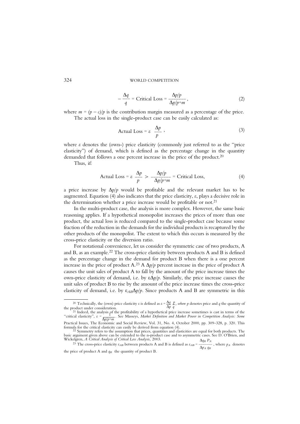$$
-\frac{\Delta q}{q} = \text{Critical Loss} = \frac{\Delta p/p}{\Delta p/p+m},\tag{2}
$$

where  $m = (p - c)/p$  is the contribution margin measured as a percentage of the price. The actual loss in the single-product case can be easily calculated as:

Actual Loss = 
$$
\varepsilon \frac{\Delta p}{p}
$$
, (3)

where  $\varepsilon$  denotes the (own-) price elasticity (commonly just referred to as the "price elasticity'') of demand, which is defined as the percentage change in the quantity demanded that follows a one percent increase in the price of the product.<sup>20</sup>

Thus, if:

Actual Loss = 
$$
\varepsilon \frac{\Delta p}{p} > \frac{\Delta p/p}{\Delta p/p+m}
$$
 = Critical Loss, (4)

a price increase by  $\Delta p/p$  would be profitable and the relevant market has to be augmented. Equation  $(4)$  also indicates that the price elasticity,  $\varepsilon$ , plays a decisive role in the determination whether a price increase would be profitable or not.<sup>21</sup>

In the multi-product case, the analysis is more complex. However, the same basic reasoning applies. If a hypothetical monopolist increases the prices of more than one product, the actual loss is reduced compared to the single-product case because some fraction of the reduction in the demands for the individual products is recaptured by the other products of the monopolist. The extent to which this occurs is measured by the cross-price elasticity or the diversion ratio.

For notational convenience, let us consider the symmetric case of two products, A and B, as an example.<sup>22</sup> The cross-price elasticity between products A and B is defined as the percentage change in the demand for product B when there is a one percent increase in the price of product A.<sup>23</sup> A  $\Delta p/p$  percent increase in the price of product A causes the unit sales of product A to fall by the amount of the price increase times the own-price elasticity of demand, i.e. by  $\epsilon \Delta p/p$ . Similarly, the price increase causes the unit sales of product B to rise by the amount of the price increase times the cross-price elasticity of demand, i.e. by  $\varepsilon_{AB}\Delta p/p$ . Since products A and B are symmetric in this

<sup>&</sup>lt;sup>20</sup> Technically, the (own) price elasticity  $\varepsilon$  is defined as  $\varepsilon = \frac{\Delta q}{\Delta p} \frac{p}{q}$ , where p denotes price and q the quantity of the product under consideration.

<sup>&</sup>lt;sup>21</sup> Indeed, the analysis of the profitability of a hypothetical price increase sometimes is cast in terms of the "critical elasticity",  $\varepsilon = \frac{1}{\Delta p/p+m}$ . See Masseys, *Market Definition and Market Power in Competition Analysis: Some* 

Practical Issues, The Economic and Social Review, Vol. 31, No. 4, October 2000, pp. 309–328, p. 320. This formula for the critical elasticity can easily be derived from equation (4). formula for the critical elasticity can easily be derived from equation (4).<br><sup>22</sup> Symmetry refers to the assumption that prices, quantities and elasticities are equal for both products. The<br>basic argument given above can b

elgren, A Critical Analysis of Critical Loss Analysis, 2003.  $\Delta q_B P_A$ <br><sup>23</sup> The cross-price elasticity  $\varepsilon_{AB}$  between products A and B is defined as  $\varepsilon_{AB} = \frac{\Delta q_B P_A}{\Delta p_A q_B}$ , where  $p_A$  denotes the price of product A and  $q_B$  the quantity of product B.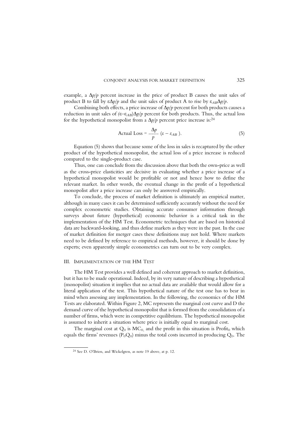example, a  $\Delta p/p$  percent increase in the price of product B causes the unit sales of product B to fall by  $\epsilon \Delta p/p$  and the unit sales of product A to rise by  $\epsilon_{AB} \Delta p/p$ .

Combining both effects, a price increase of  $\Delta p/p$  percent for both products causes a reduction in unit sales of  $(\epsilon - \epsilon_{AB})\Delta p/p$  percent for both products. Thus, the actual loss for the hypothetical monopolist from a  $\Delta p/p$  percent price increase is:<sup>24</sup>

Actual Loss = 
$$
\frac{\Delta p}{p} (\varepsilon - \varepsilon_{AB}).
$$
 (5)

Equation (5) shows that because some of the loss in sales is recaptured by the other product of the hypothetical monopolist, the actual loss of a price increase is reduced compared to the single-product case.

Thus, one can conclude from the discussion above that both the own-price as well as the cross-price elasticities are decisive in evaluating whether a price increase of a hypothetical monopolist would be profitable or not and hence how to define the relevant market. In other words, the eventual change in the profit of a hypothetical monopolist after a price increase can only be answered empirically.

To conclude, the process of market definition is ultimately an empirical matter, although in many cases it can be determined sufficiently accurately without the need for complex econometric studies. Obtaining accurate consumer information through surveys about future (hypothetical) economic behavior is a critical task in the implementation of the HM Test. Econometric techniques that are based on historical data are backward-looking, and thus define markets as they were in the past. In the case of market definition for merger cases these definitions may not hold. Where markets need to be defined by reference to empirical methods, however, it should be done by experts; even apparently simple econometrics can turn out to be very complex.

#### III. IMPLEMENTATION OF THE HM TEST

The HM Test provides a well defined and coherent approach to market definition, but it has to be made operational. Indeed, by its very nature of describing a hypothetical (monopolist) situation it implies that no actual data are available that would allow for a literal application of the test. This hypothetical nature of the test one has to bear in mind when assessing any implementation. In the following, the economics of the HM Tests are elaborated. Within Figure 2, MC represents the marginal cost curve and D the demand curve of the hypothetical monopolist that is formed from the consolidation of a number of firms, which were in competitive equilibrium. The hypothetical monopolist is assumed to inherit a situation where price is initially equal to marginal cost.

The marginal cost at  $Q_0$  is  $MC_0$  and the profit in this situation is Profit<sub>0</sub> which equals the firms' revenues ( $P_0Q_0$ ) minus the total costs incurred in producing  $Q_0$ . The

<sup>24</sup> See D. O'Brien, and Wickelgren, as note 19 above, at p. 12.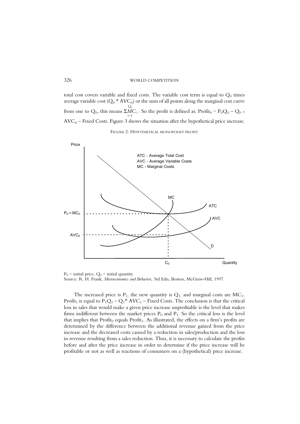total cost covers variable and fixed costs. The variable cost term is equal to  $Q_0$  times average variable cost ( $Q_0$  \* AVC<sub>0</sub>) or the sum of all points along the marginal cost curve  $Q_{\scriptscriptstyle 0}$ from one to  $Q_0$ , this means  $\Sigma M C_i$ . So the profit is defined as: Profit<sub>0</sub> = P<sub>0</sub>Q<sub>0</sub> – Q<sub>0</sub> \*  $\text{AVC}_0$  – Fixed Costs. Figure 3 shows the situation after the hypothetical price increase.

#### FIGURE 2: HYPOTHETICAL MONOPOLIST PROFIT



 $P_0$  = initial price,  $Q_0$  = initial quantity Source: R. H. Frank, Microeconomics and Behavior, 3rd Edn, Boston, McGraw-Hill, 1997.

The increased price is  $P_1$ ; the new quantity is  $Q_1$ ; and marginal costs are MC<sub>1</sub>. Profit<sub>1</sub> is equal to  $P_1Q_1 - Q_1^*$  AVC<sub>1</sub> – Fixed Costs. The conclusion is that the critical loss in sales that would make a given price increase unprofitable is the level that makes firms indifferent between the market prices  $P_0$  and  $P_1$ . So the critical loss is the level that implies that  $Profit_0$  equals  $Profit_1$ . As illustrated, the effects on a firm's profits are determined by the difference between the additional revenue gained from the price increase and the decreased costs caused by a reduction in sales/production and the loss in revenue resulting from a sales reduction. Thus, it is necessary to calculate the profits before and after the price increase in order to determine if the price increase will be profitable or not as well as reactions of consumers on a (hypothetical) price increase.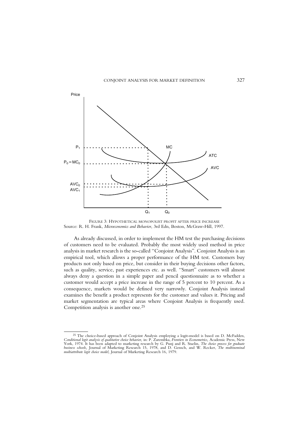

FIGURE 3: HYPOTHETICAL MONOPOLIST PROFIT AFTER PRICE INCREASE Source: R. H. Frank, Microeconomics and Behavior, 3rd Edn, Boston, McGraw-Hill, 1997.

As already discussed, in order to implement the HM test the purchasing decisions of customers need to be evaluated. Probably the most widely used method in price analysis in market research is the so-called "Conjoint Analysis". Conjoint Analysis is an empirical tool, which allows a proper performance of the HM test. Customers buy products not only based on price, but consider in their buying decisions other factors, such as quality, service, past experiences etc. as well. "Smart" customers will almost always deny a question in a simple paper and pencil questionnaire as to whether a customer would accept a price increase in the range of 5 percent to 10 percent. As a consequence, markets would be defined very narrowly. Conjoint Analysis instead examines the benefit a product represents for the customer and values it. Pricing and market segmentation are typical areas where Conjoint Analysis is frequently used. Competition analysis is another one.25

<sup>&</sup>lt;sup>25</sup> The choice-based approach of Conjoint Analysis employing a logit-model is based on D. McFadden,<br>Conditional logit analysis of qualitative choice behavior, in: P. Zarembka, Frontiers in Econometrics, Academic Press, Ne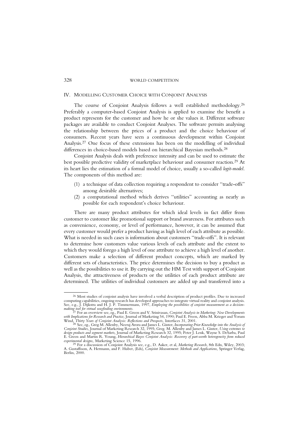#### IV. MODELLING CUSTOMER CHOICE WITH CONJOINT ANALYSIS

The course of Conjoint Analysis follows a well established methodology. 26 Preferably a computer-based Conjoint Analysis is applied to examine the benefit a product represents for the customer and how he or she values it. Different software packages are available to conduct Conjoint Analyses. The software permits analysing the relationship between the prices of a product and the choice behaviour of consumers. Recent years have seen a continuous development within Conjoint Analysis.27 One focus of these extensions has been on the modelling of individual differences in choice-based models based on hierarchical Bayesian methods.<sup>28</sup>

Conjoint Analysis deals with preference intensity and can be used to estimate the best possible predictive validity of marketplace behaviour and consumer reaction.<sup>29</sup> At its heart lies the estimation of a formal model of choice, usually a so-called logit-model. The components of this method are:

- (1) a technique of data collection requiring a respondent to consider ``trade-offs'' among desirable alternatives;
- (2) a computational method which derives "utilities" accounting as nearly as possible for each respondent's choice behaviour.

There are many product attributes for which ideal levels in fact differ from customer to customer like promotional support or brand awareness. For attributes such as convenience, economy, or level of performance, however, it can be assumed that every customer would prefer a product having as high level of each attribute as possible. What is needed in such cases is information about customers "trade-offs". It is relevant to determine how customers value various levels of each attribute and the extent to which they would forego a high level of one attribute to achieve a high level of another. Customers make a selection of different product concepts, which are marked by different sets of characteristics. The price determines the decision to buy a product as well as the possibilities to use it. By carrying out the HM Test with support of Conjoint Analysis, the attractiveness of products or the utilities of each product attribute are determined. The utilities of individual customers are added up and transferred into a

<sup>26</sup> Most studies of conjoint analysis have involved a verbal description of product profiles. Due to increased computing capabilities, ongoing research has developed approaches to integrate virtual reality and conjoint analysis.<br>See, e.g., J. Dijkstra and H. J. P. Timmermans, 1997, *Employing the possibilities of conjoint measureme* 

making tool for virtual wayfinding environments.<br><sup>27</sup> For an overview see, eg., Paul E. Green and V. Srinivasan, *Conjoint Analysis in Marketing: New Developments*<br>with Implications for R*esearch and Practice,* Journal of Wind, Thirty Years of Conjoint Analysis: Reflections and Prospects, Interfaces 31, 2001.<br>28 See, eg., Greg M. Allenby, Neeraj Arora and James L. Ginter, Incorporating Prior Knowledge into the Analysis of<br><sup>28</sup> See, eg., Gre

*Conjoint Studies,* Journal of Marketing Research 32, 1995; Greg. M. Allenby and James L. Ginter, U*sing extremes to*<br>*design products and segment markets,* Journal of Marketing Research 32, 1995; Peter J. Lenk, Wayne S. D

experimental designs, Marketing Science 15, 1996.<br><sup>29</sup> For a discussion of Conjoint Analysis see, e.g., D. Aaker, et al, *Marketing Research*, 8th Edn, Wiley, 2003;<br>A. Gustaffsson, A. Hermann, and F. Huber, (Eds), *Conjoin* Berlin, 2000.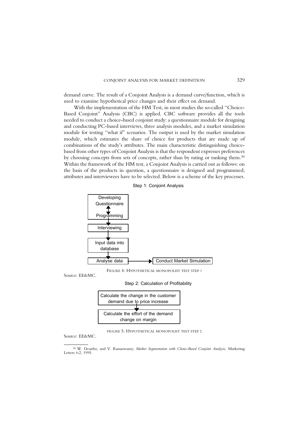demand curve. The result of a Conjoint Analysis is a demand curve/function, which is used to examine hypothetical price changes and their effect on demand.

With the implementation of the HM Test, in most studies the so-called "Choice-Based Conjoint'' Analysis (CBC) is applied. CBC software provides all the tools needed to conduct a choice-based conjoint study: a questionnaire module for designing and conducting PC-based interviews, three analysis modules, and a market simulation module for testing "what if" scenarios. The output is used by the market simulation module, which estimates the share of choice for products that are made up of combinations of the study's attributes. The main characteristic distinguishing choicebased from other types of Conjoint Analysis is that the respondent expresses preferences by choosing concepts from sets of concepts, rather than by rating or ranking them. 30 Within the framework of the HM test, a Conjoint Analysis is carried out as follows: on the basis of the products in question, a questionnaire is designed and programmed; attributes and interviewees have to be selected. Below is a scheme of the key processes.





FIGURE 4: HYPOTHETICAL MONOPOLIST TEST STEP 1

Source: EE&MC.

Step 2: Calculation of Profitability



FIGURE 5: HYPOTHETICAL MONOPOLIST TEST STEP 2

Source: EE&MC.

<sup>&</sup>lt;sup>30</sup> W. Desarbo, and V. Ramaswamy, Market Segmentation with Choice-Based Conjoint Analysis, Marketing Letters 6:2, 1995.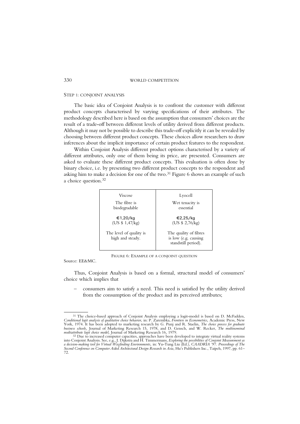#### STEP 1: CONJOINT ANALYSIS

The basic idea of Conjoint Analysis is to confront the customer with different product concepts characterised by varying specifications of their attributes. The methodology described here is based on the assumption that consumers' choices are the result of a trade-off between different levels of utility derived from different products. Although it may not be possible to describe this trade-off explicitly it can be revealed by choosing between different product concepts. These choices allow researchers to draw inferences about the implicit importance of certain product features to the respondent.

Within Conjoint Analysis different product options characterised by a variety of different attributes, only one of them being its price, are presented. Consumers are asked to evaluate these different product concepts. This evaluation is often done by binary choice, i.e. by presenting two different product concepts to the respondent and asking him to make a decision for one of the two. $31$  Figure 6 shows an example of such a choice question.<sup>32</sup>

| <b>Viscose</b>                              | Lyocell                                                              |
|---------------------------------------------|----------------------------------------------------------------------|
| The fibre is                                | Wet tenacity is                                                      |
| biodegradable                               | essential                                                            |
| €1,20/kg                                    | €2,25/kg                                                             |
| (US \$ 1,47/kg)                             | (US \$ 2,76/kg)                                                      |
| The level of quality is<br>high and steady. | The quality of fibres<br>is low (e.g. causing<br>standstill period). |

FIGURE 6: EXAMPLE OF A CONJOINT QUESTION

Source: EE&MC.

Thus, Conjoint Analysis is based on a formal, structural model of consumers' choice which implies that

consumers aim to satisfy a need. This need is satisfied by the utility derived from the consumption of the product and its perceived attributes;

<sup>&</sup>lt;sup>31</sup> The choice-based approach of Conjoint Analysis employing a logit-model is based on D. McFadden,

Conditional logit analysis of qualitative choice behavior, in: P. Zarembka, Frontiers in Econometrics, Academic Press, New York, 1974. It has been adopted to marketing research by G. Punj and R. Staelin, *The choice proces*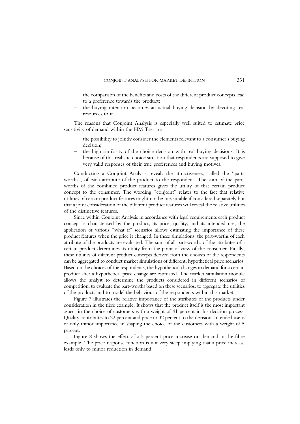- the comparison of the benefits and costs of the different product concepts lead to a preference towards the product;
- the buying intention becomes an actual buying decision by devoting real resources to it.

The reasons that Conjoint Analysis is especially well suited to estimate price sensitivity of demand within the HM Test are

- the possibility to jointly consider the elements relevant to a consumer's buying decision;
- the high similarity of the choice decision with real buying decisions. It is because of this realistic choice situation that respondents are supposed to give very valid responses of their true preferences and buying motives.

Conducting a Conjoint Analysis reveals the attractiveness, called the "partworths'', of each attribute of the product to the respondent. The sum of the partworths of the combined product features gives the utility of that certain product concept to the consumer. The wording "conjoint" relates to the fact that relative utilities of certain product features might not be measurable if considered separately but that a joint consideration of the different product features will reveal the relative utilities of the distinctive features.

Since within Conjoint Analysis in accordance with legal requirements each product concept is characterised by the product, its price, quality, and its intended use, the application of various "what if" scenarios allows estimating the importance of these product features when the price is changed. In these simulations, the part-worths of each attribute of the products are evaluated. The sum of all part-worths of the attributes of a certain product determines its utility from the point of view of the consumer. Finally, these utilities of different product concepts derived from the choices of the respondents can be aggregated to conduct market simulations of different, hypothetical price scenarios. Based on the choices of the respondents, the hypothetical changes in demand for a certain product after a hypothetical price change are estimated. The market simulation module allows the analyst to determine the products considered in different scenarios of competition, to evaluate the part-worths based on these scenarios, to aggregate the utilities of the products and to model the behaviour of the respondents within this market.

Figure 7 illustrates the relative importance of the attributes of the products under consideration in the fibre example. It shows that the product itself is the most important aspect in the choice of customers with a weight of 41 percent in his decision process. Quality contributes to 22 percent and price to 32 percent to the decision. Intended use is of only minor importance in shaping the choice of the customers with a weight of 5 percent.

Figure 8 shows the effect of a 5 percent price increase on demand in the fibre example. The price response function is not very steep implying that a price increase leads only to minor reduction in demand.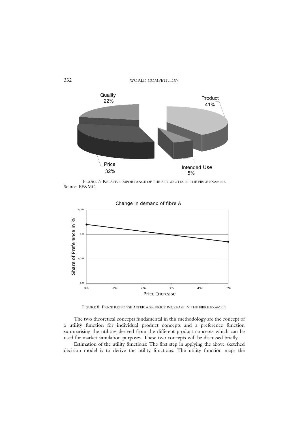

FIGURE 7: RELATIVE IMPORTANCE OF THE ATTRIBUTES IN THE FIBRE EXAMPLE Source: EE&MC.



Change in demand of fibre A

FIGURE 8: PRICE RESPONSE AFTER A 5% PRICE INCREASE IN THE FIBRE EXAMPLE

The two theoretical concepts fundamental in this methodology are the concept of a utility function for individual product concepts and a preference function summarising the utilities derived from the different product concepts which can be used for market simulation purposes. These two concepts will be discussed briefly.

Estimation of the utility functions: The first step in applying the above sketched decision model is to derive the utility functions. The utility function maps the

332 WORLD COMPETITION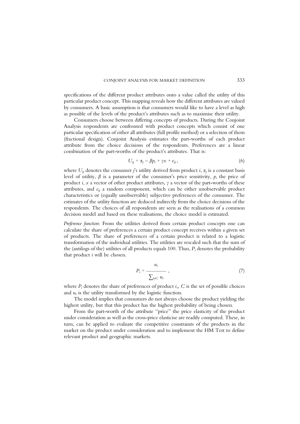specifications of the different product attributes onto a value called the utility of this particular product concept. This mapping reveals how the different attributes are valued by consumers. A basic assumption is that consumers would like to have a level as high as possible of the levels of the product's attributes such as to maximise their utility.

Consumers choose between differing concepts of products. During the Conjoint Analysis respondents are confronted with product concepts which consist of one particular specification of either all attributes (full profile method) or a selection of them (fractional design). Conjoint Analysis estimates the part-worths of each product attribute from the choice decisions of the respondents. Preferences are a linear combination of the part-worths of the product's attributes. That is:

$$
U_{ij} = \alpha_j - \beta p_i + \gamma x + e_{ij}, \qquad (6)
$$

where  $U_{ii}$  denotes the consumer j's utility derived from product i,  $\alpha_i$  is a constant basis level of utility,  $\beta$  is a parameter of the consumer's price sensitivity,  $p_i$  the price of product *i*, *x* a vector of other product attributes,  $\gamma$  a vector of the part-worths of these attributes, and  $e_{ii}$  a random component, which can be either unobservable product characteristics or (equally unobservable) subjective preferences of the consumer. The estimates of the utility function are deduced indirectly from the choice decisions of the respondents. The choices of all respondents are seen as the realisations of a common decision model and based on these realisations, the choice model is estimated.

Preference function: From the utilities derived from certain product concepts one can calculate the share of preferences a certain product concept receives within a given set of products. The share of preferences of a certain product is related to a logistic transformation of the individual utilities. The utilities are rescaled such that the sum of the (antilogs of the) utilities of all products equals 100. Thus,  $P_i$  denotes the probability that product  $i$  will be chosen.

$$
P_i = \frac{u_i}{\sum_{t \in C} u_t},\tag{7}
$$

where  $P_i$  denotes the share of preferences of product i., C is the set of possible choices and  $u_t$  is the utility transformed by the logistic function.

The model implies that consumers do not always choose the product yielding the highest utility, but that this product has the highest probability of being chosen.

From the part-worth of the attribute "price" the price elasticity of the product under consideration as well as the cross-price elasticise are readily computed. These, in turn, can be applied to evaluate the competitive constraints of the products in the market on the product under consideration and to implement the HM Test to define relevant product and geographic markets.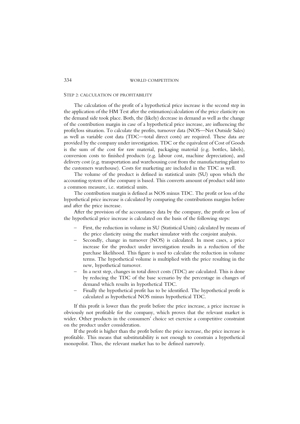#### STEP 2: CALCULATION OF PROFITABILITY

The calculation of the profit of a hypothetical price increase is the second step in the application of the HM Test after the estimation/calculation of the price elasticity on the demand side took place. Both, the (likely) decrease in demand as well as the change of the contribution margin in case of a hypothetical price increase, are influencing the profit/loss situation. To calculate the profits, turnover data (NOS—Net Outside Sales) as well as variable cost data (TDC—total direct costs) are required. These data are provided by the company under investigation. TDC or the equivalent of Cost of Goods is the sum of the cost for raw material, packaging material (e.g. bottles, labels), conversion costs to finished products (e.g. labour cost, machine depreciation), and delivery cost (e.g. transportation and warehousing cost from the manufacturing plant to the customers warehouse). Costs for marketing are included in the TDC as well.

The volume of the product is defined in statistical units (SU) upon which the accounting system of the company is based. This converts amount of product sold into a common measure, i.e. statistical units.

The contribution margin is defined as NOS minus TDC. The profit or loss of the hypothetical price increase is calculated by comparing the contributions margins before and after the price increase.

After the provision of the accountancy data by the company, the profit or loss of the hypothetical price increase is calculated on the basis of the following steps:

- ± First, the reduction in volume in SU (Statistical Units) calculated by means of the price elasticity using the market simulator with the conjoint analysis.
- Secondly, change in turnover (NOS) is calculated. In most cases, a price increase for the product under investigation results in a reduction of the purchase likelihood. This figure is used to calculate the reduction in volume terms. The hypothetical volume is multiplied with the price resulting in the new, hypothetical turnover.
- In a next step, changes in total direct costs (TDC) are calculated. This is done by reducing the TDC of the base scenario by the percentage in changes of demand which results in hypothetical TDC.
- Finally the hypothetical profit has to be identified. The hypothetical profit is calculated as hypothetical NOS minus hypothetical TDC.

If this profit is lower than the profit before the price increase, a price increase is obviously not profitable for the company, which proves that the relevant market is wider. Other products in the consumers' choice set exercise a competitive constraint on the product under consideration.

If the profit is higher than the profit before the price increase, the price increase is profitable. This means that substitutability is not enough to constrain a hypothetical monopolist. Thus, the relevant market has to be defined narrowly.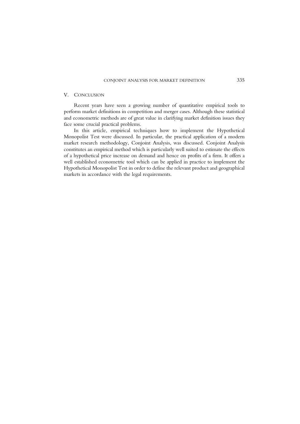#### V. CONCLUSION

Recent years have seen a growing number of quantitative empirical tools to perform market definitions in competition and merger cases. Although these statistical and econometric methods are of great value in clarifying market definition issues they face some crucial practical problems.

In this article, empirical techniques how to implement the Hypothetical Monopolist Test were discussed. In particular, the practical application of a modern market research methodology, Conjoint Analysis, was discussed. Conjoint Analysis constitutes an empirical method which is particularly well suited to estimate the effects of a hypothetical price increase on demand and hence on profits of a firm. It offers a well established econometric tool which can be applied in practice to implement the Hypothetical Monopolist Test in order to define the relevant product and geographical markets in accordance with the legal requirements.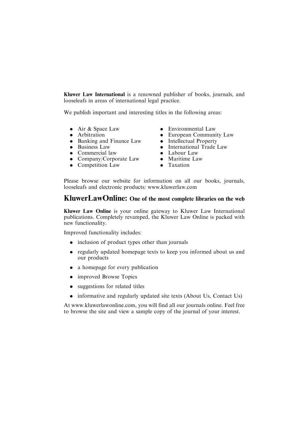Kluwer Law International is a renowned publisher of books, journals, and looseleafs in areas of international legal practice.

We publish important and interesting titles in the following areas:

- Air & Space Law
- . Arbitration
- . Banking and Finance Law
- Business Law
- Commercial law
- Company/Corporate Law
- Competition Law
- Environmental Law
- . European Community Law
- Intellectual Property
- . International Trade Law
- . Labour Law
- . Maritime Law
- Taxation

Please browse our website for information on all our books, journals, looseleafs and electronic products: www.kluwerlaw.com

### KluwerLawOnline: One of the most complete libraries on the web

Kluwer Law Online is your online gateway to Kluwer Law International publications. Completely revamped, the Kluwer Law Online is packed with new functionality.

Improved functionality includes:

- inclusion of product types other than journals
- . regularly updated homepage texts to keep you informed about us and our products
- a homepage for every publication
- improved Browse Topics
- suggestions for related titles
- informative and regularly updated site texts (About Us, Contact Us)

At www.kluwerlawonline.com, you will find all our journals online. Feel free to browse the site and view a sample copy of the journal of your interest.